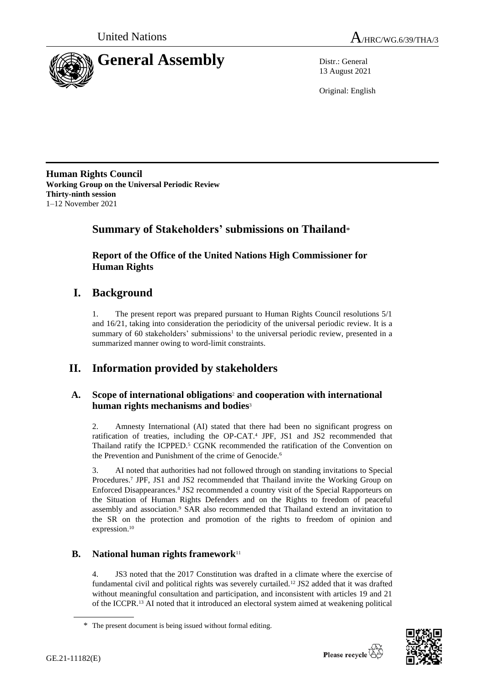



13 August 2021

Original: English

**Human Rights Council Working Group on the Universal Periodic Review Thirty-ninth session** 1–12 November 2021

# **Summary of Stakeholders' submissions on Thailand**\*

**Report of the Office of the United Nations High Commissioner for Human Rights**

## **I. Background**

1. The present report was prepared pursuant to Human Rights Council resolutions 5/1 and 16/21, taking into consideration the periodicity of the universal periodic review. It is a summary of 60 stakeholders' submissions<sup>1</sup> to the universal periodic review, presented in a summarized manner owing to word-limit constraints.

# **II. Information provided by stakeholders**

### **A. Scope of international obligations**<sup>2</sup> **and cooperation with international human rights mechanisms and bodies**<sup>3</sup>

2. Amnesty International (AI) stated that there had been no significant progress on ratification of treaties, including the OP-CAT.<sup>4</sup> JPF, JS1 and JS2 recommended that Thailand ratify the ICPPED.<sup>5</sup> CGNK recommended the ratification of the Convention on the Prevention and Punishment of the crime of Genocide.<sup>6</sup>

3. AI noted that authorities had not followed through on standing invitations to Special Procedures.<sup>7</sup> JPF, JS1 and JS2 recommended that Thailand invite the Working Group on Enforced Disappearances.<sup>8</sup> JS2 recommended a country visit of the Special Rapporteurs on the Situation of Human Rights Defenders and on the Rights to freedom of peaceful assembly and association.<sup>9</sup> SAR also recommended that Thailand extend an invitation to the SR on the protection and promotion of the rights to freedom of opinion and expression.<sup>10</sup>

## **B. National human rights framework**<sup>11</sup>

4. JS3 noted that the 2017 Constitution was drafted in a climate where the exercise of fundamental civil and political rights was severely curtailed.<sup>12</sup> JS2 added that it was drafted without meaningful consultation and participation, and inconsistent with articles 19 and 21 of the ICCPR.<sup>13</sup> AI noted that it introduced an electoral system aimed at weakening political



<sup>\*</sup> The present document is being issued without formal editing.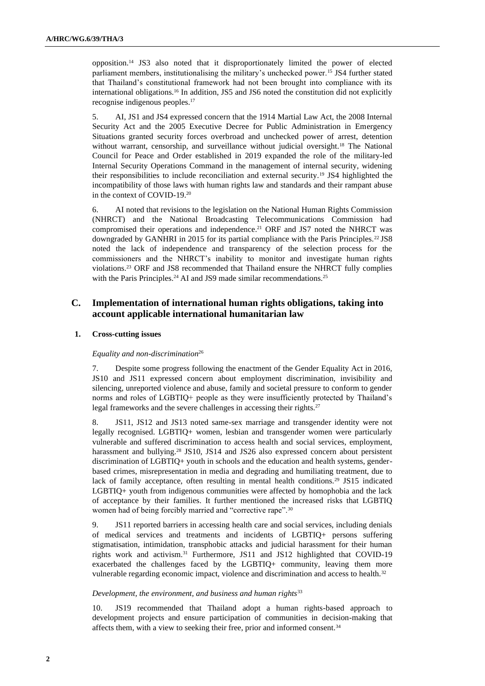opposition.<sup>14</sup> JS3 also noted that it disproportionately limited the power of elected parliament members, institutionalising the military's unchecked power.<sup>15</sup> JS4 further stated that Thailand's constitutional framework had not been brought into compliance with its international obligations.<sup>16</sup> In addition, JS5 and JS6 noted the constitution did not explicitly recognise indigenous peoples.<sup>17</sup>

5. AI, JS1 and JS4 expressed concern that the 1914 Martial Law Act, the 2008 Internal Security Act and the 2005 Executive Decree for Public Administration in Emergency Situations granted security forces overbroad and unchecked power of arrest, detention without warrant, censorship, and surveillance without judicial oversight.<sup>18</sup> The National Council for Peace and Order established in 2019 expanded the role of the military-led Internal Security Operations Command in the management of internal security, widening their responsibilities to include reconciliation and external security.<sup>19</sup> JS4 highlighted the incompatibility of those laws with human rights law and standards and their rampant abuse in the context of COVID-19.<sup>20</sup>

6. AI noted that revisions to the legislation on the National Human Rights Commission (NHRCT) and the National Broadcasting Telecommunications Commission had compromised their operations and independence.<sup>21</sup> ORF and JS7 noted the NHRCT was downgraded by GANHRI in 2015 for its partial compliance with the Paris Principles.<sup>22</sup> JS8 noted the lack of independence and transparency of the selection process for the commissioners and the NHRCT's inability to monitor and investigate human rights violations.<sup>23</sup> ORF and JS8 recommended that Thailand ensure the NHRCT fully complies with the Paris Principles.<sup>24</sup> AI and JS9 made similar recommendations.<sup>25</sup>

### **C. Implementation of international human rights obligations, taking into account applicable international humanitarian law**

#### **1. Cross-cutting issues**

#### *Equality and non-discrimination*<sup>26</sup>

7. Despite some progress following the enactment of the Gender Equality Act in 2016, JS10 and JS11 expressed concern about employment discrimination, invisibility and silencing, unreported violence and abuse, family and societal pressure to conform to gender norms and roles of LGBTIQ+ people as they were insufficiently protected by Thailand's legal frameworks and the severe challenges in accessing their rights.<sup>27</sup>

8. JS11, JS12 and JS13 noted same-sex marriage and transgender identity were not legally recognised. LGBTIQ+ women, lesbian and transgender women were particularly vulnerable and suffered discrimination to access health and social services, employment, harassment and bullying.<sup>28</sup> JS10, JS14 and JS26 also expressed concern about persistent discrimination of LGBTIQ+ youth in schools and the education and health systems, genderbased crimes, misrepresentation in media and degrading and humiliating treatment, due to lack of family acceptance, often resulting in mental health conditions.<sup>29</sup> JS15 indicated LGBTIQ+ youth from indigenous communities were affected by homophobia and the lack of acceptance by their families. It further mentioned the increased risks that LGBTIQ women had of being forcibly married and "corrective rape".<sup>30</sup>

9. JS11 reported barriers in accessing health care and social services, including denials of medical services and treatments and incidents of LGBTIQ+ persons suffering stigmatisation, intimidation, transphobic attacks and judicial harassment for their human rights work and activism.<sup>31</sup> Furthermore, JS11 and JS12 highlighted that COVID-19 exacerbated the challenges faced by the LGBTIQ+ community, leaving them more vulnerable regarding economic impact, violence and discrimination and access to health.<sup>32</sup>

#### *Development, the environment, and business and human rights*<sup>33</sup>

10. JS19 recommended that Thailand adopt a human rights-based approach to development projects and ensure participation of communities in decision-making that affects them, with a view to seeking their free, prior and informed consent.34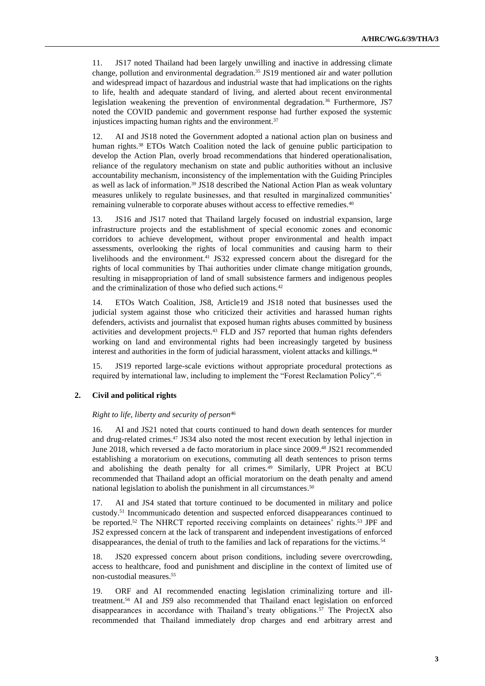11. JS17 noted Thailand had been largely unwilling and inactive in addressing climate change, pollution and environmental degradation.<sup>35</sup> JS19 mentioned air and water pollution and widespread impact of hazardous and industrial waste that had implications on the rights to life, health and adequate standard of living, and alerted about recent environmental legislation weakening the prevention of environmental degradation.<sup>36</sup> Furthermore, JS7 noted the COVID pandemic and government response had further exposed the systemic injustices impacting human rights and the environment.<sup>37</sup>

12. AI and JS18 noted the Government adopted a national action plan on business and human rights.<sup>38</sup> ETOs Watch Coalition noted the lack of genuine public participation to develop the Action Plan, overly broad recommendations that hindered operationalisation, reliance of the regulatory mechanism on state and public authorities without an inclusive accountability mechanism, inconsistency of the implementation with the Guiding Principles as well as lack of information.<sup>39</sup> JS18 described the National Action Plan as weak voluntary measures unlikely to regulate businesses, and that resulted in marginalized communities' remaining vulnerable to corporate abuses without access to effective remedies.<sup>40</sup>

13. JS16 and JS17 noted that Thailand largely focused on industrial expansion, large infrastructure projects and the establishment of special economic zones and economic corridors to achieve development, without proper environmental and health impact assessments, overlooking the rights of local communities and causing harm to their livelihoods and the environment.<sup>41</sup> JS32 expressed concern about the disregard for the rights of local communities by Thai authorities under climate change mitigation grounds, resulting in misappropriation of land of small subsistence farmers and indigenous peoples and the criminalization of those who defied such actions.<sup>42</sup>

14. ETOs Watch Coalition, JS8, Article19 and JS18 noted that businesses used the judicial system against those who criticized their activities and harassed human rights defenders, activists and journalist that exposed human rights abuses committed by business activities and development projects.<sup>43</sup> FLD and JS7 reported that human rights defenders working on land and environmental rights had been increasingly targeted by business interest and authorities in the form of judicial harassment, violent attacks and killings.<sup>44</sup>

15. JS19 reported large-scale evictions without appropriate procedural protections as required by international law, including to implement the "Forest Reclamation Policy".<sup>45</sup>

#### **2. Civil and political rights**

#### *Right to life, liberty and security of person*<sup>46</sup>

16. AI and JS21 noted that courts continued to hand down death sentences for murder and drug-related crimes.<sup>47</sup> JS34 also noted the most recent execution by lethal injection in June 2018, which reversed a de facto moratorium in place since 2009. <sup>48</sup> JS21 recommended establishing a moratorium on executions, commuting all death sentences to prison terms and abolishing the death penalty for all crimes.<sup>49</sup> Similarly, UPR Project at BCU recommended that Thailand adopt an official moratorium on the death penalty and amend national legislation to abolish the punishment in all circumstances.<sup>50</sup>

17. AI and JS4 stated that torture continued to be documented in military and police custody.<sup>51</sup> Incommunicado detention and suspected enforced disappearances continued to be reported.<sup>52</sup> The NHRCT reported receiving complaints on detainees' rights.<sup>53</sup> JPF and JS2 expressed concern at the lack of transparent and independent investigations of enforced disappearances, the denial of truth to the families and lack of reparations for the victims.<sup>54</sup>

18. JS20 expressed concern about prison conditions, including severe overcrowding, access to healthcare, food and punishment and discipline in the context of limited use of non-custodial measures.<sup>55</sup>

19. ORF and AI recommended enacting legislation criminalizing torture and illtreatment.<sup>56</sup> AI and JS9 also recommended that Thailand enact legislation on enforced disappearances in accordance with Thailand's treaty obligations.<sup>57</sup> The ProjectX also recommended that Thailand immediately drop charges and end arbitrary arrest and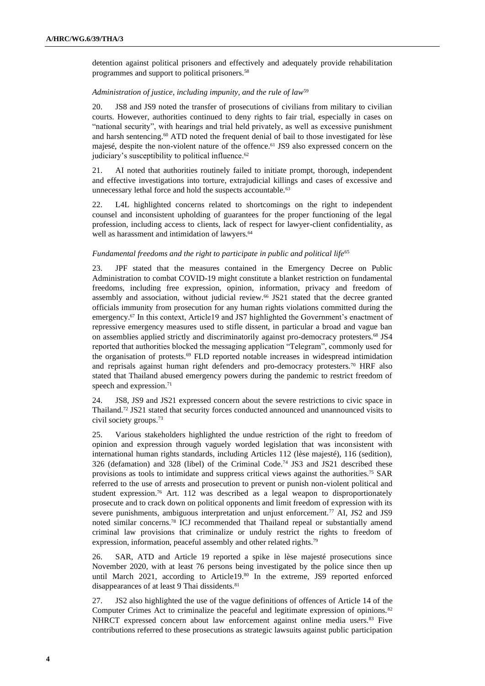detention against political prisoners and effectively and adequately provide rehabilitation programmes and support to political prisoners.<sup>58</sup>

#### *Administration of justice, including impunity, and the rule of law*<sup>59</sup>

20. JS8 and JS9 noted the transfer of prosecutions of civilians from military to civilian courts. However, authorities continued to deny rights to fair trial, especially in cases on "national security", with hearings and trial held privately, as well as excessive punishment and harsh sentencing.<sup>60</sup> ATD noted the frequent denial of bail to those investigated for lèse majesé, despite the non-violent nature of the offence.<sup>61</sup> JS9 also expressed concern on the judiciary's susceptibility to political influence.<sup>62</sup>

21. AI noted that authorities routinely failed to initiate prompt, thorough, independent and effective investigations into torture, extrajudicial killings and cases of excessive and unnecessary lethal force and hold the suspects accountable.<sup>63</sup>

22. L4L highlighted concerns related to shortcomings on the right to independent counsel and inconsistent upholding of guarantees for the proper functioning of the legal profession, including access to clients, lack of respect for lawyer-client confidentiality, as well as harassment and intimidation of lawyers.<sup>64</sup>

#### *Fundamental freedoms and the right to participate in public and political life*<sup>65</sup>

23. JPF stated that the measures contained in the Emergency Decree on Public Administration to combat COVID-19 might constitute a blanket restriction on fundamental freedoms, including free expression, opinion, information, privacy and freedom of assembly and association, without judicial review.<sup>66</sup> JS21 stated that the decree granted officials immunity from prosecution for any human rights violations committed during the emergency.<sup>67</sup> In this context, Article19 and JS7 highlighted the Government's enactment of repressive emergency measures used to stifle dissent, in particular a broad and vague ban on assemblies applied strictly and discriminatorily against pro-democracy protesters.<sup>68</sup> JS4 reported that authorities blocked the messaging application "Telegram", commonly used for the organisation of protests.<sup>69</sup> FLD reported notable increases in widespread intimidation and reprisals against human right defenders and pro-democracy protesters.<sup>70</sup> HRF also stated that Thailand abused emergency powers during the pandemic to restrict freedom of speech and expression.<sup>71</sup>

24. JS8, JS9 and JS21 expressed concern about the severe restrictions to civic space in Thailand.<sup>72</sup> JS21 stated that security forces conducted announced and unannounced visits to civil society groups.<sup>73</sup>

25. Various stakeholders highlighted the undue restriction of the right to freedom of opinion and expression through vaguely worded legislation that was inconsistent with international human rights standards, including Articles 112 (lèse majesté), 116 (sedition), 326 (defamation) and 328 (libel) of the Criminal Code.<sup>74</sup> JS3 and JS21 described these provisions as tools to intimidate and suppress critical views against the authorities.<sup>75</sup> SAR referred to the use of arrests and prosecution to prevent or punish non-violent political and student expression.<sup>76</sup> Art. 112 was described as a legal weapon to disproportionately prosecute and to crack down on political opponents and limit freedom of expression with its severe punishments, ambiguous interpretation and unjust enforcement.<sup>77</sup> AI, JS2 and JS9 noted similar concerns.<sup>78</sup> ICJ recommended that Thailand repeal or substantially amend criminal law provisions that criminalize or unduly restrict the rights to freedom of expression, information, peaceful assembly and other related rights.<sup>79</sup>

26. SAR, ATD and Article 19 reported a spike in lèse majesté prosecutions since November 2020, with at least 76 persons being investigated by the police since then up until March 2021, according to Article19.80 In the extreme, JS9 reported enforced disappearances of at least 9 Thai dissidents.<sup>81</sup>

27. JS2 also highlighted the use of the vague definitions of offences of Article 14 of the Computer Crimes Act to criminalize the peaceful and legitimate expression of opinions.<sup>82</sup> NHRCT expressed concern about law enforcement against online media users.<sup>83</sup> Five contributions referred to these prosecutions as strategic lawsuits against public participation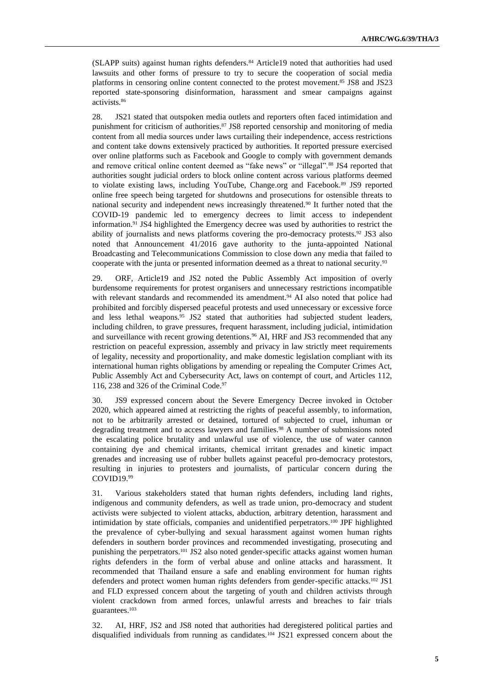(SLAPP suits) against human rights defenders.<sup>84</sup> Article19 noted that authorities had used lawsuits and other forms of pressure to try to secure the cooperation of social media platforms in censoring online content connected to the protest movement.<sup>85</sup> JS8 and JS23 reported state-sponsoring disinformation, harassment and smear campaigns against activists.<sup>86</sup>

28. JS21 stated that outspoken media outlets and reporters often faced intimidation and punishment for criticism of authorities.<sup>87</sup> JS8 reported censorship and monitoring of media content from all media sources under laws curtailing their independence, access restrictions and content take downs extensively practiced by authorities. It reported pressure exercised over online platforms such as Facebook and Google to comply with government demands and remove critical online content deemed as "fake news" or "illegal".<sup>88</sup> JS4 reported that authorities sought judicial orders to block online content across various platforms deemed to violate existing laws, including YouTube, Change.org and Facebook.<sup>89</sup> JS9 reported online free speech being targeted for shutdowns and prosecutions for ostensible threats to national security and independent news increasingly threatened.<sup>90</sup> It further noted that the COVID-19 pandemic led to emergency decrees to limit access to independent information.<sup>91</sup> JS4 highlighted the Emergency decree was used by authorities to restrict the ability of journalists and news platforms covering the pro-democracy protests.<sup>92</sup> JS3 also noted that Announcement 41/2016 gave authority to the junta-appointed National Broadcasting and Telecommunications Commission to close down any media that failed to cooperate with the junta or presented information deemed as a threat to national security.<sup>93</sup>

29. ORF, Article19 and JS2 noted the Public Assembly Act imposition of overly burdensome requirements for protest organisers and unnecessary restrictions incompatible with relevant standards and recommended its amendment.<sup>94</sup> AI also noted that police had prohibited and forcibly dispersed peaceful protests and used unnecessary or excessive force and less lethal weapons.<sup>95</sup> JS2 stated that authorities had subjected student leaders, including children, to grave pressures, frequent harassment, including judicial, intimidation and surveillance with recent growing detentions.<sup>96</sup> AI, HRF and JS3 recommended that any restriction on peaceful expression, assembly and privacy in law strictly meet requirements of legality, necessity and proportionality, and make domestic legislation compliant with its international human rights obligations by amending or repealing the Computer Crimes Act, Public Assembly Act and Cybersecurity Act, laws on contempt of court, and Articles 112, 116, 238 and 326 of the Criminal Code.<sup>97</sup>

30. JS9 expressed concern about the Severe Emergency Decree invoked in October 2020, which appeared aimed at restricting the rights of peaceful assembly, to information, not to be arbitrarily arrested or detained, tortured of subjected to cruel, inhuman or degrading treatment and to access lawyers and families.<sup>98</sup> A number of submissions noted the escalating police brutality and unlawful use of violence, the use of water cannon containing dye and chemical irritants, chemical irritant grenades and kinetic impact grenades and increasing use of rubber bullets against peaceful pro-democracy protestors, resulting in injuries to protesters and journalists, of particular concern during the COVID19.<sup>99</sup>

31. Various stakeholders stated that human rights defenders, including land rights, indigenous and community defenders, as well as trade union, pro-democracy and student activists were subjected to violent attacks, abduction, arbitrary detention, harassment and intimidation by state officials, companies and unidentified perpetrators.<sup>100</sup> JPF highlighted the prevalence of cyber-bullying and sexual harassment against women human rights defenders in southern border provinces and recommended investigating, prosecuting and punishing the perpetrators.<sup>101</sup> JS2 also noted gender-specific attacks against women human rights defenders in the form of verbal abuse and online attacks and harassment. It recommended that Thailand ensure a safe and enabling environment for human rights defenders and protect women human rights defenders from gender-specific attacks.<sup>102</sup> JS1 and FLD expressed concern about the targeting of youth and children activists through violent crackdown from armed forces, unlawful arrests and breaches to fair trials guarantees.<sup>103</sup>

32. AI, HRF, JS2 and JS8 noted that authorities had deregistered political parties and disqualified individuals from running as candidates.<sup>104</sup> JS21 expressed concern about the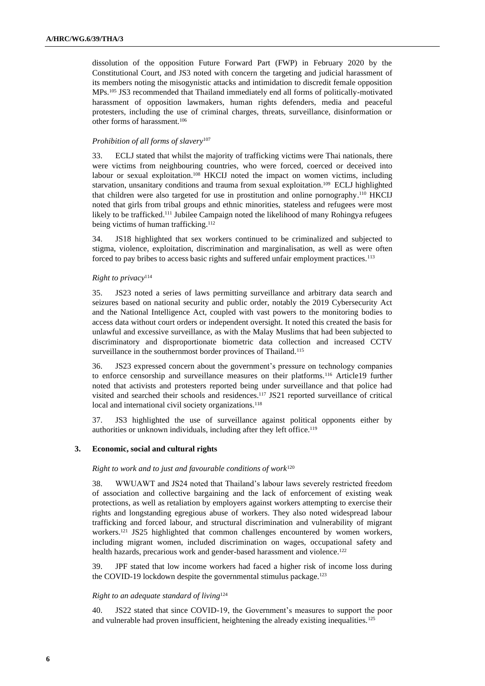dissolution of the opposition Future Forward Part (FWP) in February 2020 by the Constitutional Court, and JS3 noted with concern the targeting and judicial harassment of its members noting the misogynistic attacks and intimidation to discredit female opposition MPs.<sup>105</sup> JS3 recommended that Thailand immediately end all forms of politically-motivated harassment of opposition lawmakers, human rights defenders, media and peaceful protesters, including the use of criminal charges, threats, surveillance, disinformation or other forms of harassment.<sup>106</sup>

#### *Prohibition of all forms of slavery*<sup>107</sup>

33. ECLJ stated that whilst the majority of trafficking victims were Thai nationals, there were victims from neighbouring countries, who were forced, coerced or deceived into labour or sexual exploitation.<sup>108</sup> HKCIJ noted the impact on women victims, including starvation, unsanitary conditions and trauma from sexual exploitation. <sup>109</sup> ECLJ highlighted that children were also targeted for use in prostitution and online pornography. <sup>110</sup> HKCIJ noted that girls from tribal groups and ethnic minorities, stateless and refugees were most likely to be trafficked.<sup>111</sup> Jubilee Campaign noted the likelihood of many Rohingya refugees being victims of human trafficking. 112

34. JS18 highlighted that sex workers continued to be criminalized and subjected to stigma, violence, exploitation, discrimination and marginalisation, as well as were often forced to pay bribes to access basic rights and suffered unfair employment practices.<sup>113</sup>

#### *Right to privacy*<sup>114</sup>

35. JS23 noted a series of laws permitting surveillance and arbitrary data search and seizures based on national security and public order, notably the 2019 Cybersecurity Act and the National Intelligence Act, coupled with vast powers to the monitoring bodies to access data without court orders or independent oversight. It noted this created the basis for unlawful and excessive surveillance, as with the Malay Muslims that had been subjected to discriminatory and disproportionate biometric data collection and increased CCTV surveillance in the southernmost border provinces of Thailand.<sup>115</sup>

36. JS23 expressed concern about the government's pressure on technology companies to enforce censorship and surveillance measures on their platforms.<sup>116</sup> Article19 further noted that activists and protesters reported being under surveillance and that police had visited and searched their schools and residences.<sup>117</sup> JS21 reported surveillance of critical local and international civil society organizations.<sup>118</sup>

37. JS3 highlighted the use of surveillance against political opponents either by authorities or unknown individuals, including after they left office.<sup>119</sup>

#### **3. Economic, social and cultural rights**

#### *Right to work and to just and favourable conditions of work*<sup>120</sup>

38. WWUAWT and JS24 noted that Thailand's labour laws severely restricted freedom of association and collective bargaining and the lack of enforcement of existing weak protections, as well as retaliation by employers against workers attempting to exercise their rights and longstanding egregious abuse of workers. They also noted widespread labour trafficking and forced labour, and structural discrimination and vulnerability of migrant workers.<sup>121</sup> JS25 highlighted that common challenges encountered by women workers, including migrant women, included discrimination on wages, occupational safety and health hazards, precarious work and gender-based harassment and violence.<sup>122</sup>

39. JPF stated that low income workers had faced a higher risk of income loss during the COVID-19 lockdown despite the governmental stimulus package.<sup>123</sup>

#### *Right to an adequate standard of living*<sup>124</sup>

40. JS22 stated that since COVID-19, the Government's measures to support the poor and vulnerable had proven insufficient, heightening the already existing inequalities.<sup>125</sup>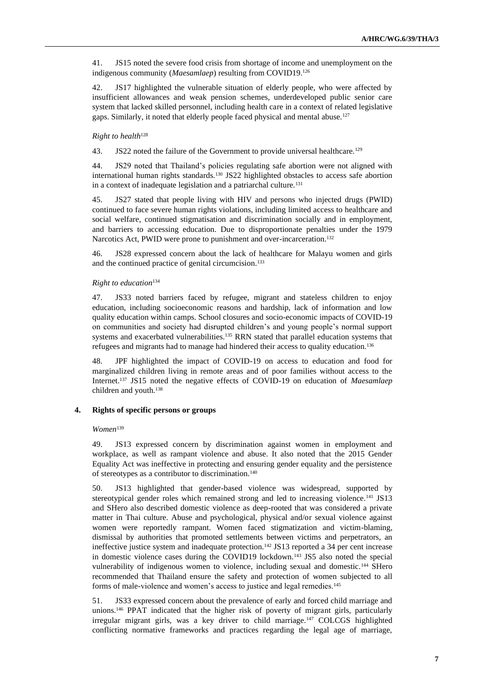41. JS15 noted the severe food crisis from shortage of income and unemployment on the indigenous community (*Maesamlaep*) resulting from COVID19.<sup>126</sup>

42. JS17 highlighted the vulnerable situation of elderly people, who were affected by insufficient allowances and weak pension schemes, underdeveloped public senior care system that lacked skilled personnel, including health care in a context of related legislative gaps. Similarly, it noted that elderly people faced physical and mental abuse.<sup>127</sup>

### *Right to health*<sup>128</sup>

43. JS22 noted the failure of the Government to provide universal healthcare.<sup>129</sup>

44. JS29 noted that Thailand's policies regulating safe abortion were not aligned with international human rights standards.<sup>130</sup> JS22 highlighted obstacles to access safe abortion in a context of inadequate legislation and a patriarchal culture.<sup>131</sup>

45. JS27 stated that people living with HIV and persons who injected drugs (PWID) continued to face severe human rights violations, including limited access to healthcare and social welfare, continued stigmatisation and discrimination socially and in employment, and barriers to accessing education. Due to disproportionate penalties under the 1979 Narcotics Act, PWID were prone to punishment and over-incarceration.<sup>132</sup>

46. JS28 expressed concern about the lack of healthcare for Malayu women and girls and the continued practice of genital circumcision.<sup>133</sup>

#### *Right to education*<sup>134</sup>

47. JS33 noted barriers faced by refugee, migrant and stateless children to enjoy education, including socioeconomic reasons and hardship, lack of information and low quality education within camps. School closures and socio-economic impacts of COVID-19 on communities and society had disrupted children's and young people's normal support systems and exacerbated vulnerabilities.<sup>135</sup> RRN stated that parallel education systems that refugees and migrants had to manage had hindered their access to quality education.<sup>136</sup>

48. JPF highlighted the impact of COVID-19 on access to education and food for marginalized children living in remote areas and of poor families without access to the Internet.<sup>137</sup> JS15 noted the negative effects of COVID-19 on education of *Maesamlaep* children and youth.<sup>138</sup>

#### **4. Rights of specific persons or groups**

#### *Women*<sup>139</sup>

49. JS13 expressed concern by discrimination against women in employment and workplace, as well as rampant violence and abuse. It also noted that the 2015 Gender Equality Act was ineffective in protecting and ensuring gender equality and the persistence of stereotypes as a contributor to discrimination.<sup>140</sup>

50. JS13 highlighted that gender-based violence was widespread, supported by stereotypical gender roles which remained strong and led to increasing violence.<sup>141</sup> JS13 and SHero also described domestic violence as deep-rooted that was considered a private matter in Thai culture. Abuse and psychological, physical and/or sexual violence against women were reportedly rampant. Women faced stigmatization and victim-blaming, dismissal by authorities that promoted settlements between victims and perpetrators, an ineffective justice system and inadequate protection.<sup>142</sup> JS13 reported a 34 per cent increase in domestic violence cases during the COVID19 lockdown.<sup>143</sup> JS5 also noted the special vulnerability of indigenous women to violence, including sexual and domestic.<sup>144</sup> SHero recommended that Thailand ensure the safety and protection of women subjected to all forms of male-violence and women's access to justice and legal remedies.<sup>145</sup>

51. JS33 expressed concern about the prevalence of early and forced child marriage and unions.<sup>146</sup> PPAT indicated that the higher risk of poverty of migrant girls, particularly irregular migrant girls, was a key driver to child marriage.<sup>147</sup> COLCGS highlighted conflicting normative frameworks and practices regarding the legal age of marriage,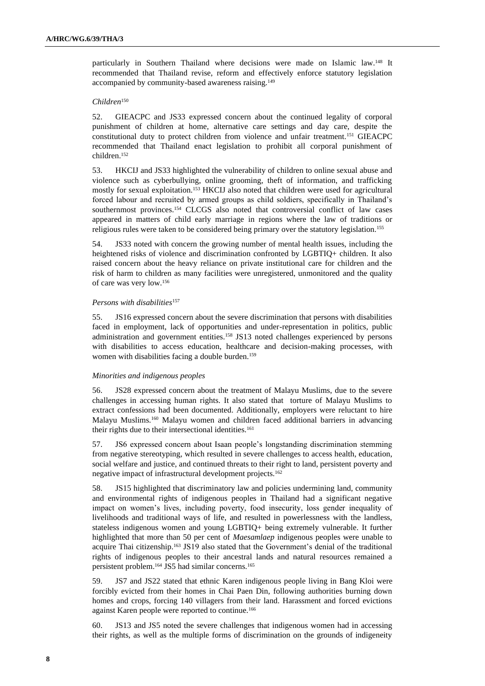particularly in Southern Thailand where decisions were made on Islamic law.<sup>148</sup> It recommended that Thailand revise, reform and effectively enforce statutory legislation accompanied by community-based awareness raising.<sup>149</sup>

#### *Children*<sup>150</sup>

52. GIEACPC and JS33 expressed concern about the continued legality of corporal punishment of children at home, alternative care settings and day care, despite the constitutional duty to protect children from violence and unfair treatment.<sup>151</sup> GIEACPC recommended that Thailand enact legislation to prohibit all corporal punishment of children.<sup>152</sup>

53. HKCIJ and JS33 highlighted the vulnerability of children to online sexual abuse and violence such as cyberbullying, online grooming, theft of information, and trafficking mostly for sexual exploitation.<sup>153</sup> HKCIJ also noted that children were used for agricultural forced labour and recruited by armed groups as child soldiers, specifically in Thailand's southernmost provinces.<sup>154</sup> CLCGS also noted that controversial conflict of law cases appeared in matters of child early marriage in regions where the law of traditions or religious rules were taken to be considered being primary over the statutory legislation.<sup>155</sup>

54. JS33 noted with concern the growing number of mental health issues, including the heightened risks of violence and discrimination confronted by LGBTIQ+ children. It also raised concern about the heavy reliance on private institutional care for children and the risk of harm to children as many facilities were unregistered, unmonitored and the quality of care was very low.<sup>156</sup>

#### *Persons with disabilities*<sup>157</sup>

55. JS16 expressed concern about the severe discrimination that persons with disabilities faced in employment, lack of opportunities and under-representation in politics, public administration and government entities.<sup>158</sup> JS13 noted challenges experienced by persons with disabilities to access education, healthcare and decision-making processes, with women with disabilities facing a double burden.<sup>159</sup>

#### *Minorities and indigenous peoples*

56. JS28 expressed concern about the treatment of Malayu Muslims, due to the severe challenges in accessing human rights. It also stated that torture of Malayu Muslims to extract confessions had been documented. Additionally, employers were reluctant to hire Malayu Muslims.<sup>160</sup> Malayu women and children faced additional barriers in advancing their rights due to their intersectional identities.<sup>161</sup>

57. JS6 expressed concern about Isaan people's longstanding discrimination stemming from negative stereotyping, which resulted in severe challenges to access health, education, social welfare and justice, and continued threats to their right to land, persistent poverty and negative impact of infrastructural development projects.<sup>162</sup>

58. JS15 highlighted that discriminatory law and policies undermining land, community and environmental rights of indigenous peoples in Thailand had a significant negative impact on women's lives, including poverty, food insecurity, loss gender inequality of livelihoods and traditional ways of life, and resulted in powerlessness with the landless, stateless indigenous women and young LGBTIQ+ being extremely vulnerable. It further highlighted that more than 50 per cent of *Maesamlaep* indigenous peoples were unable to acquire Thai citizenship.<sup>163</sup> JS19 also stated that the Government's denial of the traditional rights of indigenous peoples to their ancestral lands and natural resources remained a persistent problem.<sup>164</sup> JS5 had similar concerns.<sup>165</sup>

59. JS7 and JS22 stated that ethnic Karen indigenous people living in Bang Kloi were forcibly evicted from their homes in Chai Paen Din, following authorities burning down homes and crops, forcing 140 villagers from their land. Harassment and forced evictions against Karen people were reported to continue.<sup>166</sup>

60. JS13 and JS5 noted the severe challenges that indigenous women had in accessing their rights, as well as the multiple forms of discrimination on the grounds of indigeneity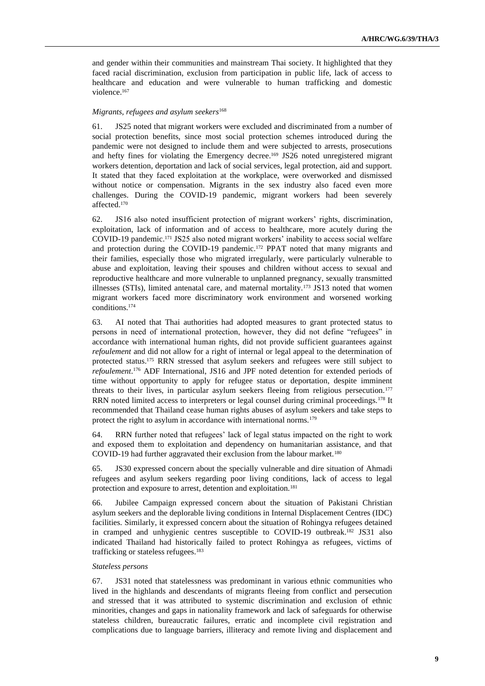and gender within their communities and mainstream Thai society. It highlighted that they faced racial discrimination, exclusion from participation in public life, lack of access to healthcare and education and were vulnerable to human trafficking and domestic violence.<sup>167</sup>

#### *Migrants, refugees and asylum seekers*<sup>168</sup>

61. JS25 noted that migrant workers were excluded and discriminated from a number of social protection benefits, since most social protection schemes introduced during the pandemic were not designed to include them and were subjected to arrests, prosecutions and hefty fines for violating the Emergency decree.<sup>169</sup> JS26 noted unregistered migrant workers detention, deportation and lack of social services, legal protection, aid and support. It stated that they faced exploitation at the workplace, were overworked and dismissed without notice or compensation. Migrants in the sex industry also faced even more challenges. During the COVID-19 pandemic, migrant workers had been severely affected.<sup>170</sup>

62. JS16 also noted insufficient protection of migrant workers' rights, discrimination, exploitation, lack of information and of access to healthcare, more acutely during the COVID-19 pandemic.<sup>171</sup> JS25 also noted migrant workers' inability to access social welfare and protection during the COVID-19 pandemic.<sup>172</sup> PPAT noted that many migrants and their families, especially those who migrated irregularly, were particularly vulnerable to abuse and exploitation, leaving their spouses and children without access to sexual and reproductive healthcare and more vulnerable to unplanned pregnancy, sexually transmitted illnesses (STIs), limited antenatal care, and maternal mortality.<sup>173</sup> JS13 noted that women migrant workers faced more discriminatory work environment and worsened working conditions.<sup>174</sup>

63. AI noted that Thai authorities had adopted measures to grant protected status to persons in need of international protection, however, they did not define "refugees" in accordance with international human rights, did not provide sufficient guarantees against *refoulement* and did not allow for a right of internal or legal appeal to the determination of protected status.<sup>175</sup> RRN stressed that asylum seekers and refugees were still subject to *refoulement*. <sup>176</sup> ADF International, JS16 and JPF noted detention for extended periods of time without opportunity to apply for refugee status or deportation, despite imminent threats to their lives, in particular asylum seekers fleeing from religious persecution.<sup>177</sup> RRN noted limited access to interpreters or legal counsel during criminal proceedings.<sup>178</sup> It recommended that Thailand cease human rights abuses of asylum seekers and take steps to protect the right to asylum in accordance with international norms.<sup>179</sup>

64. RRN further noted that refugees' lack of legal status impacted on the right to work and exposed them to exploitation and dependency on humanitarian assistance, and that COVID-19 had further aggravated their exclusion from the labour market.<sup>180</sup>

65. JS30 expressed concern about the specially vulnerable and dire situation of Ahmadi refugees and asylum seekers regarding poor living conditions, lack of access to legal protection and exposure to arrest, detention and exploitation.<sup>181</sup>

66. Jubilee Campaign expressed concern about the situation of Pakistani Christian asylum seekers and the deplorable living conditions in Internal Displacement Centres (IDC) facilities. Similarly, it expressed concern about the situation of Rohingya refugees detained in cramped and unhygienic centres susceptible to COVID-19 outbreak.<sup>182</sup> JS31 also indicated Thailand had historically failed to protect Rohingya as refugees, victims of trafficking or stateless refugees.<sup>183</sup>

#### *Stateless persons*

67. JS31 noted that statelessness was predominant in various ethnic communities who lived in the highlands and descendants of migrants fleeing from conflict and persecution and stressed that it was attributed to systemic discrimination and exclusion of ethnic minorities, changes and gaps in nationality framework and lack of safeguards for otherwise stateless children, bureaucratic failures, erratic and incomplete civil registration and complications due to language barriers, illiteracy and remote living and displacement and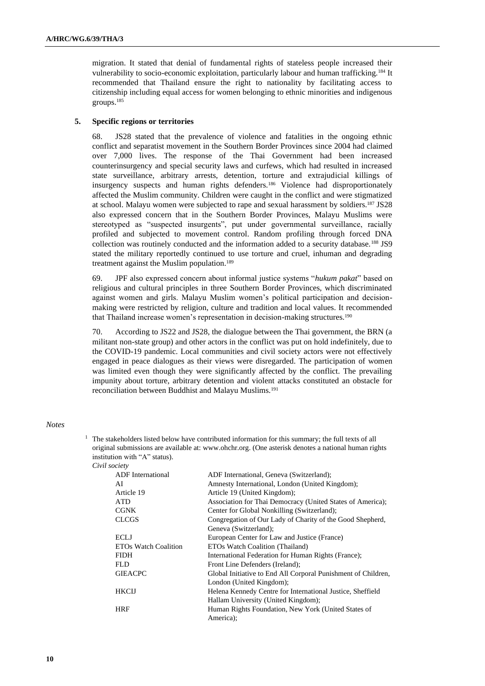migration. It stated that denial of fundamental rights of stateless people increased their vulnerability to socio-economic exploitation, particularly labour and human trafficking.<sup>184</sup> It recommended that Thailand ensure the right to nationality by facilitating access to citizenship including equal access for women belonging to ethnic minorities and indigenous groups.<sup>185</sup>

#### **5. Specific regions or territories**

68. JS28 stated that the prevalence of violence and fatalities in the ongoing ethnic conflict and separatist movement in the Southern Border Provinces since 2004 had claimed over 7,000 lives. The response of the Thai Government had been increased counterinsurgency and special security laws and curfews, which had resulted in increased state surveillance, arbitrary arrests, detention, torture and extrajudicial killings of insurgency suspects and human rights defenders.<sup>186</sup> Violence had disproportionately affected the Muslim community. Children were caught in the conflict and were stigmatized at school. Malayu women were subjected to rape and sexual harassment by soldiers.<sup>187</sup> JS28 also expressed concern that in the Southern Border Provinces, Malayu Muslims were stereotyped as "suspected insurgents", put under governmental surveillance, racially profiled and subjected to movement control. Random profiling through forced DNA collection was routinely conducted and the information added to a security database.<sup>188</sup> JS9 stated the military reportedly continued to use torture and cruel, inhuman and degrading treatment against the Muslim population.<sup>189</sup>

69. JPF also expressed concern about informal justice systems "*hukum pakat*" based on religious and cultural principles in three Southern Border Provinces, which discriminated against women and girls. Malayu Muslim women's political participation and decisionmaking were restricted by religion, culture and tradition and local values. It recommended that Thailand increase women's representation in decision-making structures.<sup>190</sup>

70. According to JS22 and JS28, the dialogue between the Thai government, the BRN (a militant non-state group) and other actors in the conflict was put on hold indefinitely, due to the COVID-19 pandemic. Local communities and civil society actors were not effectively engaged in peace dialogues as their views were disregarded. The participation of women was limited even though they were significantly affected by the conflict. The prevailing impunity about torture, arbitrary detention and violent attacks constituted an obstacle for reconciliation between Buddhist and Malayu Muslims.<sup>191</sup>

#### *Notes*

| <sup><math>1</math></sup> The stakeholders listed below have contributed information for this summary; the full texts of all |
|------------------------------------------------------------------------------------------------------------------------------|
| original submissions are available at: www.ohchr.org. (One asterisk denotes a national human rights                          |
| institution with "A" status).                                                                                                |

*Civil society*

| <b>ADF</b> International | ADF International, Geneva (Switzerland);                      |
|--------------------------|---------------------------------------------------------------|
| AI                       | Amnesty International, London (United Kingdom);               |
| Article 19               | Article 19 (United Kingdom);                                  |
| <b>ATD</b>               | Association for Thai Democracy (United States of America);    |
| <b>CGNK</b>              | Center for Global Nonkilling (Switzerland);                   |
| <b>CLCGS</b>             | Congregation of Our Lady of Charity of the Good Shepherd,     |
|                          | Geneva (Switzerland);                                         |
| <b>ECLJ</b>              | European Center for Law and Justice (France)                  |
| ETOs Watch Coalition     | ETOs Watch Coalition (Thailand)                               |
| <b>FIDH</b>              | International Federation for Human Rights (France);           |
| FLD.                     | Front Line Defenders (Ireland);                               |
| <b>GIEACPC</b>           | Global Initiative to End All Corporal Punishment of Children, |
|                          | London (United Kingdom);                                      |
| <b>HKCIJ</b>             | Helena Kennedy Centre for International Justice, Sheffield    |
|                          | Hallam University (United Kingdom);                           |
| <b>HRF</b>               | Human Rights Foundation, New York (United States of           |
|                          | America);                                                     |
|                          |                                                               |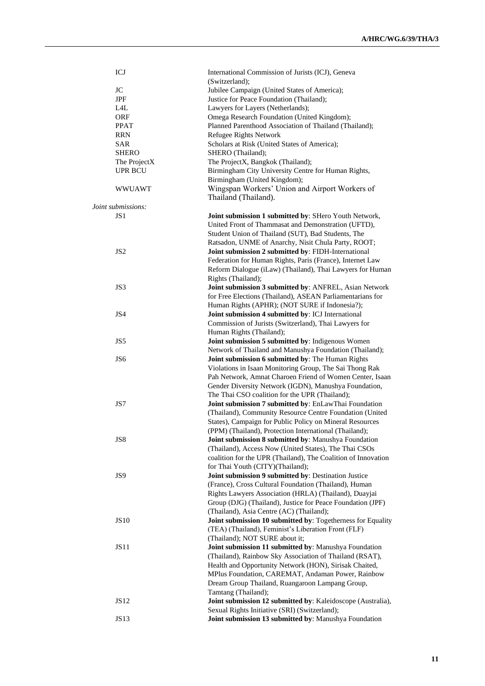| ICJ                | International Commission of Jurists (ICJ), Geneva                                                              |
|--------------------|----------------------------------------------------------------------------------------------------------------|
|                    | (Switzerland);                                                                                                 |
| $\rm JC$           | Jubilee Campaign (United States of America);                                                                   |
| <b>JPF</b>         | Justice for Peace Foundation (Thailand);                                                                       |
| L4L                | Lawyers for Layers (Netherlands);                                                                              |
| <b>ORF</b>         | Omega Research Foundation (United Kingdom);                                                                    |
| <b>PPAT</b>        | Planned Parenthood Association of Thailand (Thailand);                                                         |
| <b>RRN</b>         | Refugee Rights Network                                                                                         |
| SAR                | Scholars at Risk (United States of America);                                                                   |
| SHERO              | SHERO (Thailand);                                                                                              |
| The ProjectX       | The ProjectX, Bangkok (Thailand);                                                                              |
| UPR BCU            | Birmingham City University Centre for Human Rights,                                                            |
|                    | Birmingham (United Kingdom);                                                                                   |
| <b>WWUAWT</b>      | Wingspan Workers' Union and Airport Workers of                                                                 |
|                    | Thailand (Thailand).                                                                                           |
| Joint submissions: |                                                                                                                |
| JS1                | Joint submission 1 submitted by: SHero Youth Network,                                                          |
|                    | United Front of Thammasat and Demonstration (UFTD),                                                            |
|                    | Student Union of Thailand (SUT), Bad Students, The                                                             |
|                    | Ratsadon, UNME of Anarchy, Nisit Chula Party, ROOT;                                                            |
| JS <sub>2</sub>    | Joint submission 2 submitted by: FIDH-International                                                            |
|                    | Federation for Human Rights, Paris (France), Internet Law                                                      |
|                    | Reform Dialogue (iLaw) (Thailand), Thai Lawyers for Human                                                      |
|                    | Rights (Thailand);                                                                                             |
| JS3                | Joint submission 3 submitted by: ANFREL, Asian Network                                                         |
|                    | for Free Elections (Thailand), ASEAN Parliamentarians for                                                      |
|                    | Human Rights (APHR); (NOT SURE if Indonesia?);                                                                 |
| JS4                | Joint submission 4 submitted by: ICJ International                                                             |
|                    | Commission of Jurists (Switzerland), Thai Lawyers for                                                          |
|                    | Human Rights (Thailand);                                                                                       |
| JS5                | Joint submission 5 submitted by: Indigenous Women                                                              |
|                    | Network of Thailand and Manushya Foundation (Thailand);                                                        |
| JS <sub>6</sub>    | Joint submission 6 submitted by: The Human Rights                                                              |
|                    | Violations in Isaan Monitoring Group, The Sai Thong Rak                                                        |
|                    | Pah Network, Amnat Charoen Friend of Women Center, Isaan                                                       |
|                    | Gender Diversity Network (IGDN), Manushya Foundation,                                                          |
|                    | The Thai CSO coalition for the UPR (Thailand);                                                                 |
| JS7                | Joint submission 7 submitted by: EnLawThai Foundation                                                          |
|                    | (Thailand), Community Resource Centre Foundation (United                                                       |
|                    | States), Campaign for Public Policy on Mineral Resources                                                       |
|                    | (PPM) (Thailand). Protection International (Thailand):                                                         |
| JS8                | Joint submission 8 submitted by: Manushya Foundation                                                           |
|                    | (Thailand), Access Now (United States), The Thai CSOs                                                          |
|                    | coalition for the UPR (Thailand), The Coalition of Innovation                                                  |
|                    | for Thai Youth (CITY)(Thailand);                                                                               |
| JS9                | Joint submission 9 submitted by: Destination Justice                                                           |
|                    |                                                                                                                |
|                    | (France), Cross Cultural Foundation (Thailand), Human<br>Rights Lawyers Association (HRLA) (Thailand), Duayjai |
|                    |                                                                                                                |
|                    | Group (DJG) (Thailand), Justice for Peace Foundation (JPF)                                                     |
|                    | (Thailand), Asia Centre (AC) (Thailand);                                                                       |
| <b>JS10</b>        | Joint submission 10 submitted by: Togetherness for Equality                                                    |
|                    | (TEA) (Thailand), Feminist's Liberation Front (FLF)                                                            |
|                    | (Thailand); NOT SURE about it;                                                                                 |
| JS11               | Joint submission 11 submitted by: Manushya Foundation                                                          |
|                    | (Thailand), Rainbow Sky Association of Thailand (RSAT),                                                        |
|                    | Health and Opportunity Network (HON), Sirisak Chaited,                                                         |
|                    | MPlus Foundation, CAREMAT, Andaman Power, Rainbow                                                              |
|                    | Dream Group Thailand, Ruangaroon Lampang Group,                                                                |
|                    | Tamtang (Thailand);                                                                                            |
| JS12               | Joint submission 12 submitted by: Kaleidoscope (Australia),                                                    |
|                    | Sexual Rights Initiative (SRI) (Switzerland);                                                                  |
| <b>JS13</b>        | Joint submission 13 submitted by: Manushya Foundation                                                          |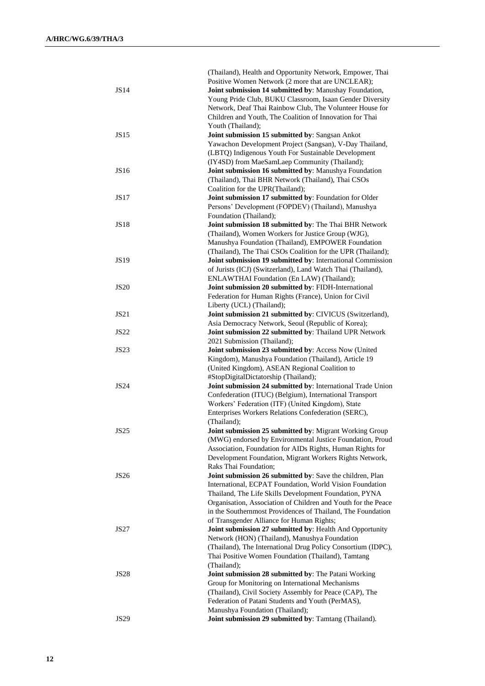|                  | (Thailand), Health and Opportunity Network, Empower, Thai<br>Positive Women Network (2 more that are UNCLEAR); |
|------------------|----------------------------------------------------------------------------------------------------------------|
| <b>JS14</b>      | Joint submission 14 submitted by: Manushay Foundation,                                                         |
|                  | Young Pride Club, BUKU Classroom, Isaan Gender Diversity                                                       |
|                  | Network, Deaf Thai Rainbow Club, The Volunteer House for                                                       |
|                  | Children and Youth, The Coalition of Innovation for Thai                                                       |
|                  | Youth (Thailand);                                                                                              |
| <b>JS15</b>      | Joint submission 15 submitted by: Sangsan Ankot                                                                |
|                  | Yawachon Development Project (Sangsan), V-Day Thailand,                                                        |
|                  | (LBTQ) Indigenous Youth For Sustainable Development                                                            |
|                  | (IY4SD) from MaeSamLaep Community (Thailand);                                                                  |
| JS16             | Joint submission 16 submitted by: Manushya Foundation                                                          |
|                  | (Thailand), Thai BHR Network (Thailand), Thai CSOs                                                             |
|                  | Coalition for the UPR(Thailand);                                                                               |
| JS17             | Joint submission 17 submitted by: Foundation for Older<br>Persons' Development (FOPDEV) (Thailand), Manushya   |
|                  | Foundation (Thailand);                                                                                         |
| <b>JS18</b>      | Joint submission 18 submitted by: The Thai BHR Network                                                         |
|                  | (Thailand), Women Workers for Justice Group (WJG),                                                             |
|                  | Manushya Foundation (Thailand), EMPOWER Foundation                                                             |
|                  | (Thailand), The Thai CSOs Coalition for the UPR (Thailand);                                                    |
| <b>JS19</b>      | Joint submission 19 submitted by: International Commission                                                     |
|                  | of Jurists (ICJ) (Switzerland), Land Watch Thai (Thailand),                                                    |
|                  | ENLAWTHAI Foundation (En LAW) (Thailand);                                                                      |
| <b>JS20</b>      | Joint submission 20 submitted by: FIDH-International                                                           |
|                  | Federation for Human Rights (France), Union for Civil                                                          |
|                  | Liberty (UCL) (Thailand);                                                                                      |
| JS21             | Joint submission 21 submitted by: CIVICUS (Switzerland),                                                       |
|                  | Asia Democracy Network, Seoul (Republic of Korea);                                                             |
| <b>JS22</b>      | Joint submission 22 submitted by: Thailand UPR Network                                                         |
|                  | 2021 Submission (Thailand);                                                                                    |
| <b>JS23</b>      | Joint submission 23 submitted by: Access Now (United                                                           |
|                  | Kingdom), Manushya Foundation (Thailand), Article 19                                                           |
|                  | (United Kingdom), ASEAN Regional Coalition to                                                                  |
|                  | #StopDigitalDictatorship (Thailand);                                                                           |
| <b>JS24</b>      | Joint submission 24 submitted by: International Trade Union                                                    |
|                  | Confederation (ITUC) (Belgium), International Transport<br>Workers' Federation (ITF) (United Kingdom), State   |
|                  | Enterprises Workers Relations Confederation (SERC),                                                            |
|                  | (Thailand);                                                                                                    |
| JS <sub>25</sub> | Joint submission 25 submitted by: Migrant Working Group                                                        |
|                  | (MWG) endorsed by Environmental Justice Foundation, Proud                                                      |
|                  | Association, Foundation for AIDs Rights, Human Rights for                                                      |
|                  | Development Foundation, Migrant Workers Rights Network,                                                        |
|                  | Raks Thai Foundation;                                                                                          |
| <b>JS26</b>      | Joint submission 26 submitted by: Save the children, Plan                                                      |
|                  | International, ECPAT Foundation, World Vision Foundation                                                       |
|                  | Thailand, The Life Skills Development Foundation, PYNA                                                         |
|                  | Organisation, Association of Children and Youth for the Peace                                                  |
|                  | in the Southernmost Providences of Thailand, The Foundation                                                    |
|                  | of Transgender Alliance for Human Rights;                                                                      |
| <b>JS27</b>      | Joint submission 27 submitted by: Health And Opportunity                                                       |
|                  | Network (HON) (Thailand), Manushya Foundation                                                                  |
|                  | (Thailand), The International Drug Policy Consortium (IDPC),                                                   |
|                  | Thai Positive Women Foundation (Thailand), Tamtang                                                             |
|                  | (Thailand);                                                                                                    |
| JS28             | <b>Joint submission 28 submitted by:</b> The Patani Working                                                    |
|                  | Group for Monitoring on International Mechanisms                                                               |
|                  | (Thailand), Civil Society Assembly for Peace (CAP), The                                                        |
|                  | Federation of Patani Students and Youth (PerMAS),                                                              |
|                  | Manushya Foundation (Thailand);                                                                                |
| JS29             | Joint submission 29 submitted by: Tamtang (Thailand).                                                          |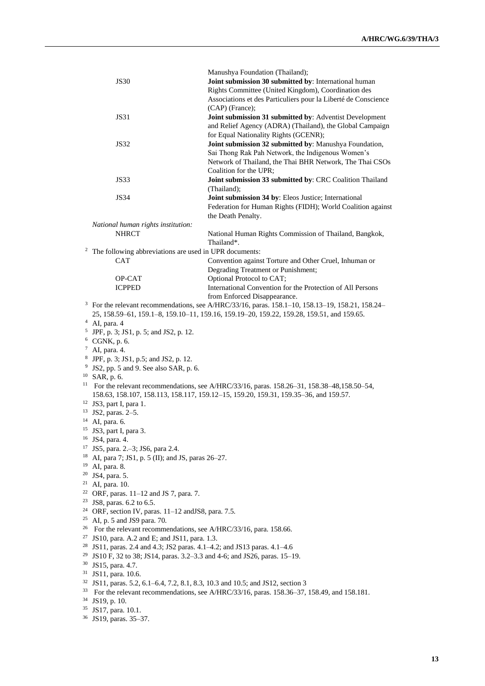|                                                                     | Manushya Foundation (Thailand);                                                                                             |  |
|---------------------------------------------------------------------|-----------------------------------------------------------------------------------------------------------------------------|--|
| <b>JS30</b>                                                         | Joint submission 30 submitted by: International human                                                                       |  |
|                                                                     | Rights Committee (United Kingdom), Coordination des                                                                         |  |
|                                                                     | Associations et des Particuliers pour la Liberté de Conscience                                                              |  |
|                                                                     | (CAP) (France);                                                                                                             |  |
| <b>JS31</b>                                                         | Joint submission 31 submitted by: Adventist Development                                                                     |  |
|                                                                     | and Relief Agency (ADRA) (Thailand), the Global Campaign                                                                    |  |
|                                                                     | for Equal Nationality Rights (GCENR);                                                                                       |  |
| <b>JS32</b>                                                         | Joint submission 32 submitted by: Manushya Foundation,                                                                      |  |
|                                                                     | Sai Thong Rak Pah Network, the Indigenous Women's                                                                           |  |
|                                                                     | Network of Thailand, the Thai BHR Network, The Thai CSOs                                                                    |  |
|                                                                     | Coalition for the UPR;                                                                                                      |  |
| <b>JS33</b>                                                         | Joint submission 33 submitted by: CRC Coalition Thailand                                                                    |  |
|                                                                     |                                                                                                                             |  |
|                                                                     | (Thailand);                                                                                                                 |  |
| <b>JS34</b>                                                         | Joint submission 34 by: Eleos Justice; International                                                                        |  |
|                                                                     | Federation for Human Rights (FIDH); World Coalition against                                                                 |  |
|                                                                     | the Death Penalty.                                                                                                          |  |
| National human rights institution:                                  |                                                                                                                             |  |
| <b>NHRCT</b>                                                        | National Human Rights Commission of Thailand, Bangkok,                                                                      |  |
|                                                                     | Thailand*.                                                                                                                  |  |
| <sup>2</sup> The following abbreviations are used in UPR documents: |                                                                                                                             |  |
| <b>CAT</b>                                                          | Convention against Torture and Other Cruel, Inhuman or                                                                      |  |
|                                                                     | Degrading Treatment or Punishment;                                                                                          |  |
| OP-CAT                                                              | Optional Protocol to CAT;                                                                                                   |  |
| <b>ICPPED</b>                                                       | International Convention for the Protection of All Persons                                                                  |  |
|                                                                     | from Enforced Disappearance.                                                                                                |  |
|                                                                     | <sup>3</sup> For the relevant recommendations, see A/HRC/33/16, paras. $158.1 - 10$ , $158.13 - 19$ , $158.21$ , $158.24 -$ |  |
|                                                                     | 25, 158.59-61, 159.1-8, 159.10-11, 159.16, 159.19-20, 159.22, 159.28, 159.51, and 159.65.                                   |  |
| $4$ AI, para. 4                                                     |                                                                                                                             |  |
| <sup>5</sup> JPF, p. 3; JS1, p. 5; and JS2, p. 12.                  |                                                                                                                             |  |
| $6$ CGNK, p. 6.                                                     |                                                                                                                             |  |
| $\tau$<br>AI, para. 4.                                              |                                                                                                                             |  |
| 8                                                                   |                                                                                                                             |  |
| JPF, p. 3; JS1, p.5; and JS2, p. 12.<br>9                           |                                                                                                                             |  |
| JS2, pp. 5 and 9. See also SAR, p. 6.                               |                                                                                                                             |  |
| $10$ SAR, p. 6.                                                     |                                                                                                                             |  |
| 11                                                                  | For the relevant recommendations, see A/HRC/33/16, paras. 158.26–31, 158.38–48,158.50–54,                                   |  |
|                                                                     | 158.63, 158.107, 158.113, 158.117, 159.12-15, 159.20, 159.31, 159.35-36, and 159.57.                                        |  |
| <sup>12</sup> JS3, part I, para 1.                                  |                                                                                                                             |  |
| 13<br>JS2, paras. 2-5.                                              |                                                                                                                             |  |
| 14<br>AI, para. 6.                                                  |                                                                                                                             |  |
| <sup>15</sup> JS3, part I, para 3.                                  |                                                                                                                             |  |
| <sup>16</sup> JS4, para. 4.                                         |                                                                                                                             |  |
| <sup>17</sup> JS5, para. 2.-3; JS6, para 2.4.                       |                                                                                                                             |  |
| 18<br>AI, para 7; JS1, p. 5 (II); and JS, paras 26–27.              |                                                                                                                             |  |
| 19<br>AI, para. 8.                                                  |                                                                                                                             |  |
| 20<br>JS4, para. 5.                                                 |                                                                                                                             |  |
| 21<br>AI, para. 10.                                                 |                                                                                                                             |  |
| <sup>22</sup> ORF, paras. $11-12$ and JS 7, para. 7.                |                                                                                                                             |  |
| 23<br>JS8, paras. 6.2 to 6.5.                                       |                                                                                                                             |  |
| 24<br>ORF, section IV, paras. 11-12 and JS8, para. 7.5.             |                                                                                                                             |  |
| 25<br>AI, p. 5 and JS9 para. 70.                                    |                                                                                                                             |  |
|                                                                     | <sup>26</sup> For the relevant recommendations, see A/HRC/33/16, para. 158.66.                                              |  |
| <sup>27</sup> JS10, para. A.2 and E; and JS11, para. 1.3.           |                                                                                                                             |  |
|                                                                     | <sup>28</sup> JS11, paras. 2.4 and 4.3; JS2 paras. 4.1-4.2; and JS13 paras. 4.1-4.6                                         |  |
| 29                                                                  | JS10 F, 32 to 38; JS14, paras. 3.2-3.3 and 4-6; and JS26, paras. 15-19.                                                     |  |
| 30<br>JS15, para. 4.7.                                              |                                                                                                                             |  |
| 31<br>JS11, para. 10.6.                                             |                                                                                                                             |  |
| 32                                                                  | JS11, paras. 5.2, 6.1–6.4, 7.2, 8.1, 8.3, 10.3 and 10.5; and JS12, section 3                                                |  |
| 33                                                                  | For the relevant recommendations, see A/HRC/33/16, paras. 158.36-37, 158.49, and 158.181.                                   |  |
| 34                                                                  |                                                                                                                             |  |
| JS19, p. 10.                                                        |                                                                                                                             |  |
| 35<br>JS17, para. 10.1.                                             |                                                                                                                             |  |
| 36<br>JS19, paras. 35-37.                                           |                                                                                                                             |  |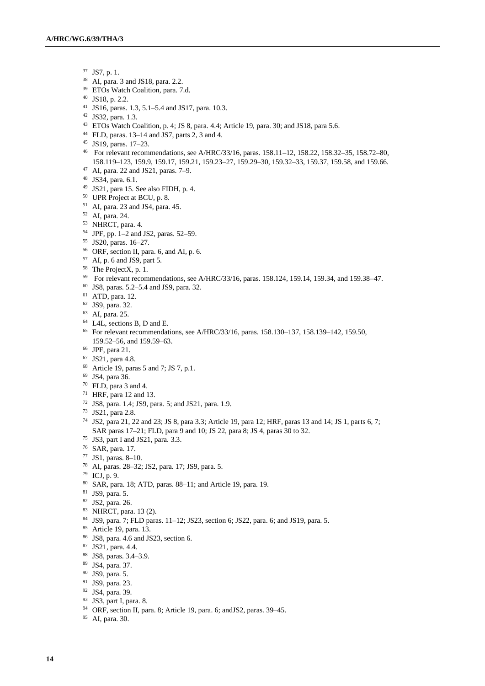- JS7, p. 1.
- AI, para. 3 and JS18, para. 2.2.
- ETOs Watch Coalition, para. 7.d.
- JS18, p. 2.2.
- JS16, paras. 1.3, 5.1–5.4 and JS17, para. 10.3.
- JS32, para. 1.3.
- ETOs Watch Coalition, p. 4; JS 8, para. 4.4; Article 19, para. 30; and JS18, para 5.6.
- FLD, paras. 13–14 and JS7, parts 2, 3 and 4.
- JS19, paras. 17–23.
- For relevant recommendations, see A/HRC/33/16, paras. 158.11–12, 158.22, 158.32–35, 158.72–80, 158.119–123, 159.9, 159.17, 159.21, 159.23–27, 159.29–30, 159.32–33, 159.37, 159.58, and 159.66.
- AI, para. 22 and JS21, paras. 7–9.
- JS34, para. 6.1.
- JS21, para 15. See also FIDH, p. 4.
- UPR Project at BCU, p. 8.
- AI, para. 23 and JS4, para. 45.
- AI, para. 24.
- NHRCT, para. 4.
- JPF, pp. 1–2 and JS2, paras. 52–59.
- JS20, paras. 16–27.
- ORF, section II, para. 6, and AI, p. 6.
- AI, p. 6 and JS9, part 5.
- <sup>58</sup> The ProjectX, p. 1.
- For relevant recommendations, see A/HRC/33/16, paras. 158.124, 159.14, 159.34, and 159.38–47.
- JS8, paras. 5.2–5.4 and JS9, para. 32.
- ATD, para. 12.
- JS9, para. 32.
- AI, para. 25.
- L4L, sections B, D and E.
- For relevant recommendations, see A/HRC/33/16, paras. 158.130–137, 158.139–142, 159.50, 159.52–56, and 159.59–63.
- JPF, para 21.
- JS21, para 4.8.
- Article 19, paras 5 and 7; JS 7, p.1.
- JS4, para 36.
- FLD, para 3 and 4.
- HRF, para 12 and 13.
- JS8, para. 1.4; JS9, para. 5; and JS21, para. 1.9.
- JS21, para 2.8.
- JS2, para 21, 22 and 23; JS 8, para 3.3; Article 19, para 12; HRF, paras 13 and 14; JS 1, parts 6, 7; SAR paras 17–21; FLD, para 9 and 10; JS 22, para 8; JS 4, paras 30 to 32.
- JS3, part I and JS21, para. 3.3.
- SAR, para. 17.
- JS1, paras. 8–10.
- AI, paras. 28–32; JS2, para. 17; JS9, para. 5.
- ICJ, p. 9.
- SAR, para. 18; ATD, paras. 88–11; and Article 19, para. 19.
- JS9, para. 5.
- JS2, para. 26.
- NHRCT, para. 13 (2).
- JS9, para. 7; FLD paras. 11–12; JS23, section 6; JS22, para. 6; and JS19, para. 5.
- Article 19, para. 13.
- JS8, para. 4.6 and JS23, section 6.
- JS21, para. 4.4.
- JS8, paras. 3.4–3.9.
- JS4, para. 37.
- JS9, para. 5.
- JS9, para. 23.
- JS4, para. 39.
- JS3, part I, para. 8.
- ORF, section II, para. 8; Article 19, para. 6; andJS2, paras. 39–45.
- AI, para. 30.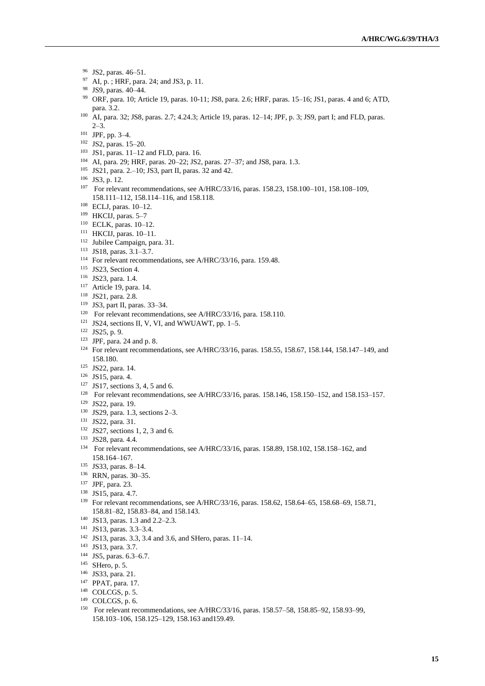- JS2, paras. 46–51.
- AI, p. ; HRF, para. 24; and JS3, p. 11.
- JS9, paras. 40–44.
- ORF, para. 10; Article 19, paras. 10-11; JS8, para. 2.6; HRF, paras. 15–16; JS1, paras. 4 and 6; ATD, para. 3.2.
- AI, para. 32; JS8, paras. 2.7; 4.24.3; Article 19, paras. 12–14; JPF, p. 3; JS9, part I; and FLD, paras. 2–3.
- JPF, pp. 3–4.
- JS2, paras. 15–20.
- JS1, paras. 11–12 and FLD, para. 16.
- AI, para. 29; HRF, paras. 20–22; JS2, paras. 27–37; and JS8, para. 1.3.
- JS21, para. 2.–10; JS3, part II, paras. 32 and 42.
- JS3, p. 12.
- For relevant recommendations, see A/HRC/33/16, paras. 158.23, 158.100–101, 158.108–109, 158.111–112, 158.114–116, and 158.118.
- ECLJ, paras. 10–12.
- HKCIJ, paras. 5–7
- ECLK, paras. 10–12.
- HKCIJ, paras. 10–11.
- Jubilee Campaign, para. 31.
- JS18, paras. 3.1–3.7.
- For relevant recommendations, see A/HRC/33/16, para. 159.48.
- <sup>115</sup> JS23, Section 4.
- JS23, para. 1.4.
- Article 19, para. 14.
- JS21, para. 2.8.
- JS3, part II, paras. 33–34.
- <sup>120</sup> For relevant recommendations, see A/HRC/33/16, para. 158.110.
- JS24, sections II, V, VI, and WWUAWT, pp. 1–5.
- JS25, p. 9.
- JPF, para. 24 and p. 8.
- For relevant recommendations, see A/HRC/33/16, paras. 158.55, 158.67, 158.144, 158.147–149, and 158.180.
- JS22, para. 14.
- JS15, para. 4.
- JS17, sections 3, 4, 5 and 6.
- For relevant recommendations, see A/HRC/33/16, paras. 158.146, 158.150–152, and 158.153–157.
- JS22, para. 19.
- JS29, para. 1.3, sections 2–3.
- JS22, para. 31.
- JS27, sections 1, 2, 3 and 6.
- JS28, para. 4.4.
- For relevant recommendations, see A/HRC/33/16, paras. 158.89, 158.102, 158.158–162, and 158.164–167.
- JS33, paras. 8–14.
- RRN, paras. 30–35.
- JPF, para. 23.
- JS15, para. 4.7.
- For relevant recommendations, see A/HRC/33/16, paras. 158.62, 158.64–65, 158.68–69, 158.71, 158.81–82, 158.83–84, and 158.143.
- JS13, paras. 1.3 and 2.2–2.3.
- JS13, paras. 3.3–3.4.
- JS13, paras. 3.3, 3.4 and 3.6, and SHero, paras. 11–14.
- JS13, para. 3.7.
- JS5, paras. 6.3–6.7.
- SHero, p. 5.
- JS33, para. 21.
- PPAT, para. 17.
- COLCGS, p. 5.
- COLCGS, p. 6.
- For relevant recommendations, see A/HRC/33/16, paras. 158.57–58, 158.85–92, 158.93–99, 158.103–106, 158.125–129, 158.163 and159.49.